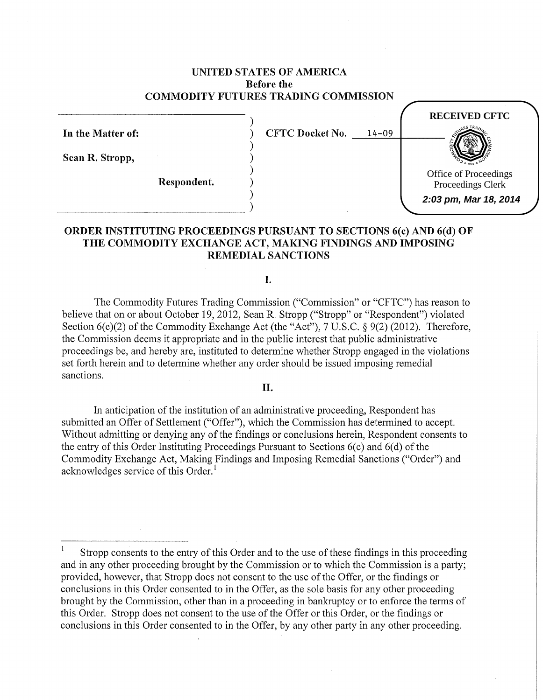# UNITED STATES OF AMERICA Before the COMMODITY FUTURES TRADING COMMISSION

In the Matter of: Sean R. Stropp, )  $CFTC$  Docket No.  $14-09$ ) ) ) Respondent. ) )  $\begin{pmatrix} 1 & 1 & 1 \\ 0 & 1 & 1 \\ 0 & 0 & 1 \end{pmatrix}$ **RECEIVED CFTC** Office of Proceedings Proceedings Clerk **2:03 pm, Mar 18, 2014**

# ORDER INSTITUTING PROCEEDINGS PURSUANT TO SECTIONS 6(c) AND 6(d) OF THE COMMODITY EXCHANGE ACT, MAKING FINDINGS AND IMPOSING REMEDIAL SANCTIONS

I.

The Commodity Futures Trading Commission ("Commission" or "CFTC") has reason to believe that on or about October 19, 2012, Sean R. Stropp ("Stropp" or "Respondent") violated Section  $6(c)(2)$  of the Commodity Exchange Act (the "Act"), 7 U.S.C. § 9(2) (2012). Therefore, the Commission deems it appropriate and in the public interest that public administrative proceedings be, and hereby are, instituted to determine whether Stropp engaged in the violations set forth herein and to determine whether any order should be issued imposing remedial sanctions.

### II.

In anticipation of the institution of an administrative proceeding, Respondent has submitted an Offer of Settlement ("Offer"), which the Commission has determined to accept. Without admitting or denying any of the findings or conclusions herein, Respondent consents to the entry of this Order Instituting Proceedings Pursuant to Sections  $6(c)$  and  $6(d)$  of the Commodity Exchange Act, Making Findings and Imposing Remedial Sanctions ("Order") and acknowledges service of this Order.<sup>1</sup>

Stropp consents to the entry of this Order and to the use of these findings in this proceeding and in any other proceeding brought by the Commission or to which the Commission is a party; provided, however, that Stropp does not consent to the use of the Offer, or the findings or conclusions in this Order consented to in the Offer, as the sole basis for any other proceeding brought by the Commission, other than in a proceeding in bankruptcy or to enforce the terms of this Order. Stropp does not consent to the use of the Offer or this Order, or the findings or conclusions in this Order consented to in the Offer, by any other party in any other proceeding.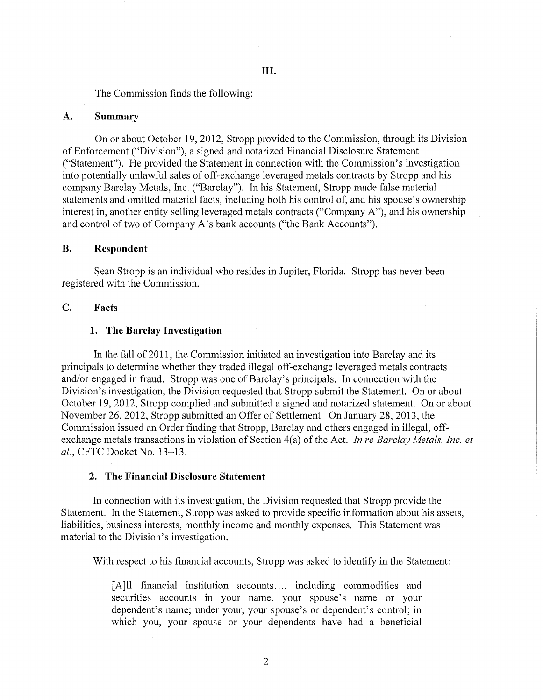The Commission finds the following:

### **A. Summary**

On or about October 19, 2012, Stropp provided to the Commission, through its Division of Enforcement ("Division"), a signed and notarized Financial Disclosure Statement ("Statement"). He provided the Statement in connection with the Commission's investigation into potentially unlawful sales of off-exchange leveraged metals contracts by Stropp and his company Barclay Metals, Inc. ("Barclay"). In his Statement, Stropp made false material statements and omitted material facts, including both his control of, and his spouse's ownership interest in, another entity selling leveraged metals contracts ("Company A"), and his ownership and control of two of Company A's bank accounts ("the Bank Accounts").

## **B. Respondent**

Sean Stropp is an individual who resides in Jupiter, Florida. Stropp has never been registered with the Commission.

## **C. Facts**

### **1. The Barclay Investigation**

In the fall of 2011, the Commission initiated an investigation into Barclay and its principals to determine whether they traded illegal off-exchange leveraged metals contracts and/or engaged in fraud. Stropp was one of Barclay's principals. In connection with the Division's investigation, the Division requested that Stropp submit the Statement. On or about October 19, 2012, Stropp complied and submitted a signed and notarized statement. On or about November 26, 2012, Stropp submitted an Offer of Settlement. On January 28, 2013, the Commission issued an Order finding that Stropp, Barclay and others engaged in illegal, offexchange metals transactions in violation of Section 4(a) of the Act. *In re Barclay Metals, Inc. et a!.,* CFTC Docket No. 13-13.

### 2. **The Financial Disclosure Statement**

In connection with its investigation, the Division requested that Stropp provide the Statement. In the Statement, Stropp was asked to provide specific information about his assets, liabilities, business interests, monthly income and monthly expenses. This Statement was material to the Division's investigation.

With respect to his financial accounts, Stropp was asked to identify in the Statement:

[A]ll financial institution accounts..., including commodities and securities accounts in your name, your spouse's name or your dependent's name; under your, your spouse's or dependent's control; in which you, your spouse or your dependents have had a beneficial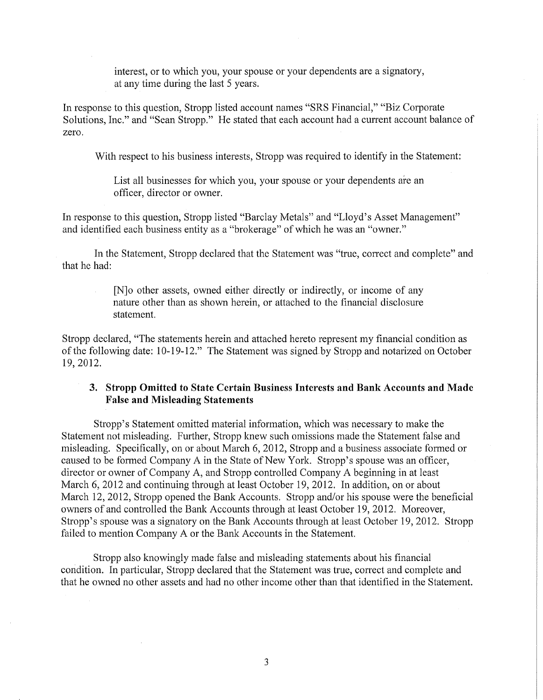interest, or to which you, your spouse or your dependents are a signatory, at any time during the last 5 years.

In response to this question, Stropp listed account names "SRS Financial," "Biz Corporate Solutions, Inc." and "Sean Stropp." He stated that each account had a current account balance of zero.

With respect to his business interests, Stropp was required to identify in the Statement:

List all businesses for which you, your spouse or your dependents are an officer, director or owner.

In response to this question, Stropp listed "Barclay Metals" and "Lloyd's Asset Management" and identified each business entity as a "brokerage" of which he was an "owner."

In the Statement, Stropp declared that the Statement was "true, correct and complete" and that he had:

> [N]o other assets, owned either directly or indirectly, or income of any nature other than as shown herein, or attached to the financial disclosure statement.

Stropp declared, "The statements herein and attached hereto represent my financial condition as of the following date: 10-19-12." The Statement was signed by Stropp and notarized on October 19,2012.

## **3. Stropp Omitted to State Certain Business Interests and Bank Accounts and Made False and Misleading Statements**

Stropp's Statement omitted material information, which was necessary to make the Statement not misleading. Further, Stropp knew such omissions made the Statement false and misleading. Specifically, on or about March 6, 2012, Stropp and a business associate formed or caused to be formed Company A in the State of New York. Stropp's spouse was an officer, director or owner of Company A, and Stropp controlled Company A beginning **in** at least March 6, 2012 and continuing through at least October 19,2012. In addition, on or about March 12, 2012, Stropp opened the Bank Accounts. Stropp and/or his spouse were the beneficial owners of and controlled the Bank Accounts through at least October 19, 2012. Moreover, Stropp's spouse was a signatory on the Bank Accounts through at least October 19, 2012. Stropp failed to mention Company A or the Bank Accounts in the Statement.

Stropp also knowingly made false and misleading statements about his financial condition. In particular, Stropp declared that the Statement was true, correct and complete and that he owned no other assets and had no other income other than that identified in the Statement.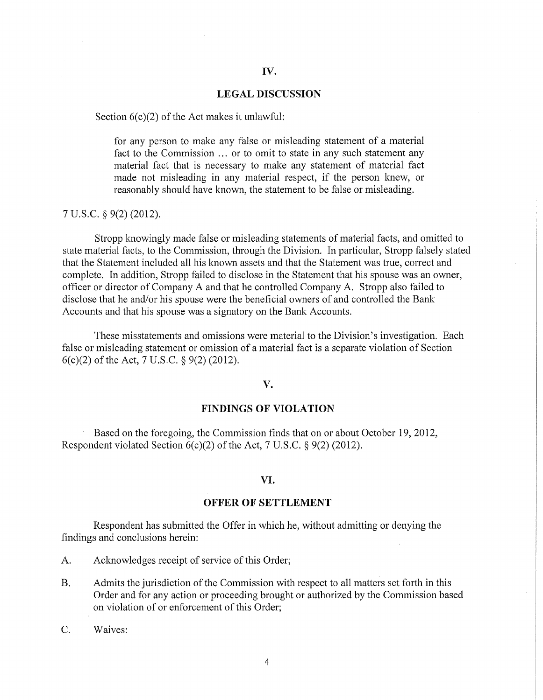#### **LEGAL** DISCUSSION

#### Section  $6(c)(2)$  of the Act makes it unlawful:

for any person to make any false or misleading statement of a material fact to the Commission ... or to omit to state in any such statement any material fact that is necessary to make any statement of material fact made not misleading in any material respect, if the person knew, or reasonably should have known, the statement to be false or misleading.

### 7 U.S.C. § 9(2) (2012).

Stropp knowingly made false or misleading statements of material facts, and omitted to state material facts, to the Commission, through the Division. In particular, Stropp falsely stated that the Statement included all his known assets and that the Statement was true, correct and complete. In addition, Stropp failed to disclose in the Statement that his spouse was an owner, officer or director of Company A and that he controlled Company A. Stropp also failed to disclose that he and/or his spouse were the beneficial owners of and controlled the Banlc Accounts and that his spouse was a signatory on the Bank Accounts.

These misstatements and omissions were material to the Division's investigation. Each false or misleading statement or omission of a material fact is a separate violation of Section  $6(c)(2)$  of the Act, 7 U.S.C. § 9(2) (2012).

#### **v.**

### **FINDINGS OF VIOLATION**

Based on the foregoing, the Commission finds that on or about October 19, 2012, Respondent violated Section 6(c)(2) of the Act, 7 U.S.C. § 9(2) (2012).

#### **VI.**

#### **OFFER OF SETTLEMENT**

Respondent has submitted the Offer in which he, without admitting or denying the findings and conclusions herein:

- A. Acknowledges receipt of service of this Order;
- B. Admits the jurisdiction of the Commission with respect to all matters set forth in this Order and for any action or proceeding brought or authorized by the Commission based on violation of or enforcement of this Order;
- C. Waives: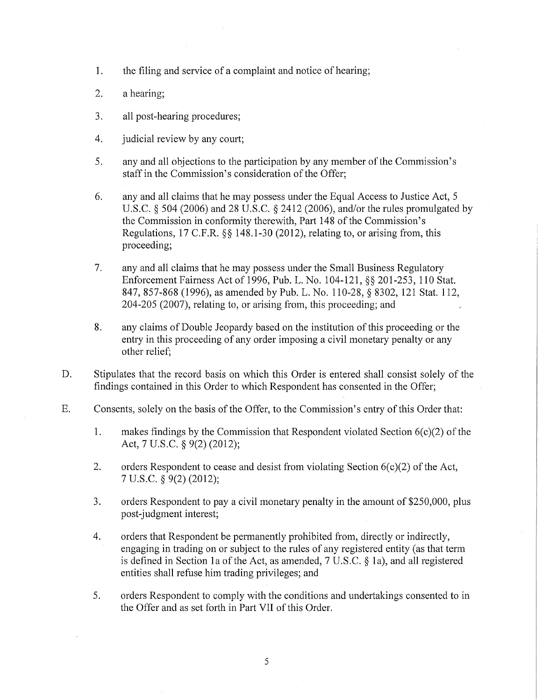- 1. the filing and service of a complaint and notice of hearing;
- 2. a hearing;
- 3. all post-hearing procedures;
- 4. judicial review by any court;
- 5. any and all objections to the participation by any member of the Commission's staff in the Commission's consideration of the Offer;
- 6. any and all claims that he may possess under the Equal Access to Justice Act, 5 U.S.C. § 504 (2006) and 28 U.S.C. § 2412 (2006), and/or the rules promulgated by the Commission in conformity therewith, Pati 148 of the Commission's Regulations, 17 C.F.R. §§ 148.1-30 (2012), relating to, or arising from, this proceeding;
- 7. any and all claims that he may possess under the Small Business Regulatory Enforcement Fairness Act of 1996, Pub. L. No. 104-121, §§ 201-253, 110 Stat. 847, 857-868 (1996), as amended by Pub. L. No. 110-28, § 8302, 121 Stat. 112, 204-205 (2007), relating to, or arising from, this proceeding; and
- 8. any claims of Double Jeopardy based on the institution of this proceeding or the entry in this proceeding of any order imposing a civil monetary penalty or any other relief;
- D. Stipulates that the record basis on which this Order is entered shall consist solely of the findings contained in this Order to which Respondent has consented in the Offer;
- E. Consents, solely on the basis of the Offer, to the Commission's entry of this Order that:
	- 1. makes findings by the Commission that Respondent violated Section  $6(c)(2)$  of the Act, 7 U.S.C. § 9(2) (2012);
	- 2. orders Respondent to cease and desist from violating Section 6(c)(2) of the Act, 7 u.s.c. § 9(2) (2012);
	- 3. orders Respondent to pay a civil monetary penalty in the amount of \$250,000, plus post-judgment interest;
	- 4. orders that Respondent be permanently prohibited from, directly or indirectly, engaging in trading on or subject to the rules of any registered entity (as that term is defined in Section la of the Act, as amended, 7 U.S.C. § la), and all registered entities shall refuse him trading privileges; and
	- 5. orders Respondent to comply with the conditions and undertakings consented to in the Offer and as set forth in Part VII of this Order.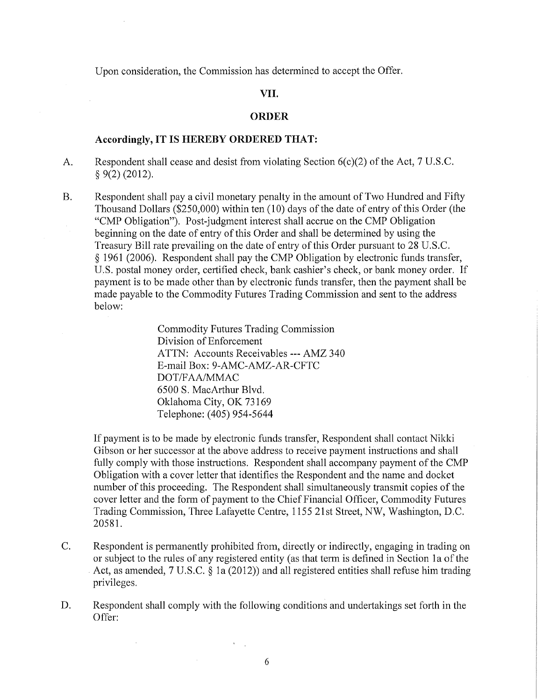Upon consideration, the Commission has determined to accept the Offer.

## VII.

## **ORDER**

#### **Accordingly,** IT IS **HEREBY ORDERED THAT:**

A. Respondent shall cease and desist from violating Section  $6(c)(2)$  of the Act, 7 U.S.C.  $§$  9(2) (2012).

B. Respondent shall pay a civil monetary penalty in the amount of Two Hundred and Fifty Thousand Dollars ( $$250,000$ ) within ten (10) days of the date of entry of this Order (the "CMP Obligation"). Post-judgment interest shall accrue on the CMP Obligation beginning on the date of entry of this Order and shall be determined by using the Treasury Bill rate prevailing on the date of entry of this Order pursuant to 28 U.S.C. *§* 1961 (2006). Respondent shall pay the CMP Obligation by electronic funds transfer, U.S. postal money order, certified check, bank cashier's check, or bank money order. If payment is to be made other than by electronic funds transfer, then the payment shall be made payable to the Commodity Futures Trading Commission and sent to the address below:

> Commodity Futures Trading Commission Division of Enforcement ATTN: Accounts Receivables--- AMZ 340 E-mail Box: 9-AMC-AMZ-AR-CFTC DOT/FAA/MMAC 6500 S. MacArthur Blvd. Oklahoma City, OK 73169 Telephone: (405) 954-5644

If payment is to be made by electronic funds transfer, Respondent shall contact Nikki Gibson or her successor at the above address to receive payment instructions and shall fully comply with those instructions. Respondent shall accompany payment of the CMP Obligation with a cover letter that identifies the Respondent and the name and docket number of this proceeding. The Respondent shall simultaneously transmit copies of the cover letter and the form of payment to the Chief Financial Officer, Commodity Futures Trading Commission, Three Lafayette Centre, 1155 21st Street, NW, Washington, D.C. 20581.

- C. Respondent is permanently prohibited from, directly or indirectly, engaging in trading on or subject to the rules of any registered entity (as that term is defined in Section la of the Act, as amended, 7 U.S.C. *§* la (2012)) and all registered entities shall refuse him trading privileges.
- D. Respondent shall comply with the following conditions and undertakings set forth in the Offer:

 $\cdot$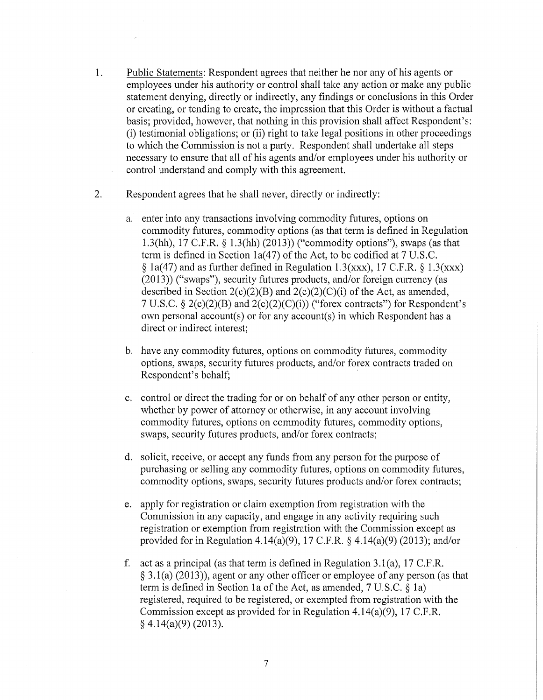- 1. Public Statements: Respondent agrees that neither he nor any of his agents or employees under his authority or control shall take any action or make any public statement denying, directly or indirectly, any findings or conclusions in this Order or creating, or tending to create, the impression that this Order is without a factual basis; provided, however, that nothing in this provision shall affect Respondent's: (i) testimonial obligations; or (ii) right to take legal positions in other proceedings to which the Commission is not a party. Respondent shall undetiake all steps necessary to ensure that all of his agents and/or employees under his authority or control understand and comply with this agreement.
- 2. Respondent agrees that he shall never, directly or indirectly:
	- a. enter into any transactions involving commodity futures, options on commodity futures, commodity options (as that term is defined in Regulation 1.3(hh), 17 C.P.R.§ 1.3(hh) (2013)) ("commodity options"), swaps (as that term is defined in Section 1a(47) of the Act, to be codified at  $7 \text{ U.S.C.}$  $\S$  1a(47) and as further defined in Regulation 1.3(xxx), 17 C.F.R.  $\S$  1.3(xxx) (2013)) ("swaps"), security futures products, and/or foreign currency (as described in Section  $2(c)(2)(B)$  and  $2(c)(2)(C)(i)$  of the Act, as amended, 7 U.S.C. § 2(c)(2)(B) and 2(c)(2)(C)(i)) ("forex contracts") for Respondent's own personal account(s) or for any account(s) in which Respondent has a direct or indirect interest;
	- b. have any commodity futures, options on commodity futures, commodity options, swaps, security futures products, and/or forex contracts traded on Respondent's behalf;
	- c. control or direct the trading for or on behalf of any other person or entity, whether by power of attorney or otherwise, in any account involving commodity futures, options on commodity futures, commodity options, swaps, security futures products, and/or forex contracts;
	- d. solicit, receive, or accept any funds from any person for the purpose of purchasing or selling any commodity futures, options on commodity futures, commodity options, swaps, security futures products and/or forex contracts;
	- e. apply for registration or claim exemption from registration with the Commission in any capacity, and engage in any activity requiring such registration or exemption from registration with the Commission except as provided for in Regulation 4.14(a)(9), 17 C.F.R. § 4.14(a)(9) (2013); and/or
	- f. act as a principal (as that term is defined in Regulation  $3.1(a)$ , 17 C.F.R. § 3.1(a) (2013)), agent or any other officer or employee of any person (as that term is defined in Section 1a of the Act, as amended, 7 U.S.C. § 1a) registered, required to be registered, or exempted from registration with the Commission except as provided for in Regulation 4.14(a)(9), 17 C.F.R. § 4.14(a)(9) (2013).